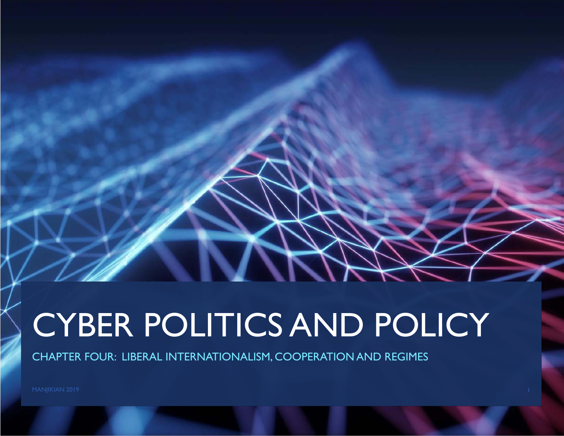# CYBER POLITICS AND POLICY

CHAPTER FOUR: LIBERAL INTERNATIONALISM, COOPERATION AND REGIMES

MANJIKIAN 2019 **1986 - Pada Secara Perancil Perancil** Perancil Perancil Perancil Perancil Perancil Perancil Perancil Perancil Perancil Perancil Perancil Perancil Perancil Perancil Perancil Perancil Perancil Perancil Peranc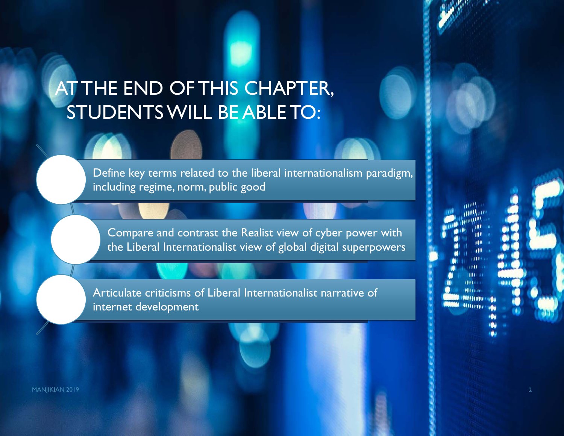# AT THE END OF THIS CHAPTER, STUDENTS WILL BE ABLE TO:

Define key terms related to the liberal internationalism paradigm, including regime, norm, public good

Compare and contrast the Realist view of cyber power with the Liberal Internationalist view of global digital superpowers

Articulate criticisms of Liberal Internationalist narrative of internet development

MANJIKIAN 2019 **2018 - Pamasang Pamasang Pamasang Pamasang Pamasang Pamasang Pamasang Pamasang Pamasang Pamasang**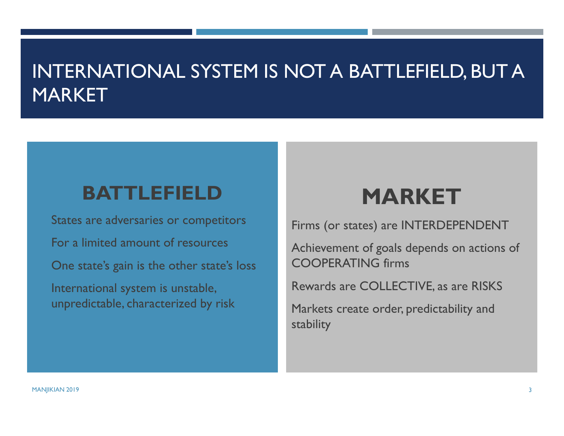## INTERNATIONAL SYSTEM IS NOT A BATTLEFIELD, BUT A MARKET

#### **BATTLEFIELD**

 States are adversaries or competitors For a limited amount of resources One state's gain is the other state's loss International system is unstable, unpredictable, characterized by risk

# **MARKET**

Firms (or states) are INTERDEPENDENT

Achievement of goals depends on actions of COOPERATING firms

Rewards are COLLECTIVE, as are RISKS

Markets create order, predictability and stability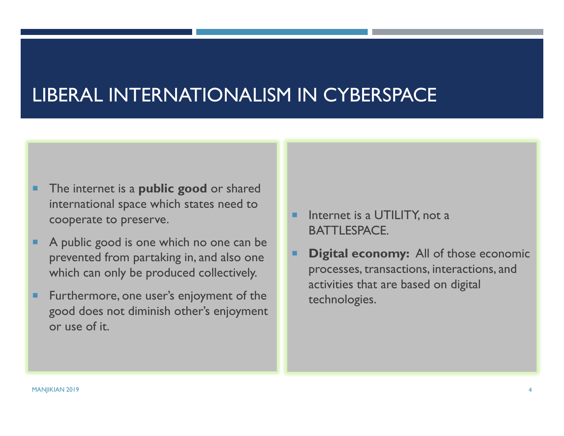# LIBERAL INTERNATIONALISM IN CYBERSPACE

- The internet is a **public good** or shared international space which states need to cooperate to preserve.
- ш A public good is one which no one can be prevented from partaking in, and also one which can only be produced collectively.
- п Furthermore, one user's enjoyment of the good does not diminish other's enjoyment or use of it.
- Internet is a UTILITY, not a BATTLESPACE.
- Г **Digital economy:** All of those economic processes, transactions, interactions, and activities that are based on digital technologies.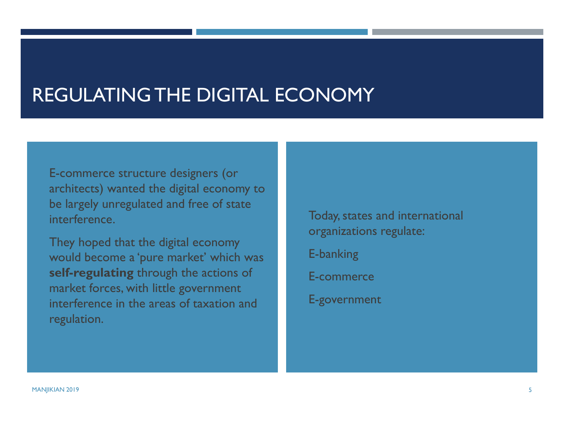## REGULATING THE DIGITAL ECONOMY

 E-commerce structure designers (or architects) wanted the digital economy to be largely unregulated and free of state interference.

 They hoped that the digital economy would become a 'pure market' which was **self-regulating** through the actions of market forces, with little government interference in the areas of taxation and regulation.

 Today, states and international organizations regulate: E-banking E-commerce

E-government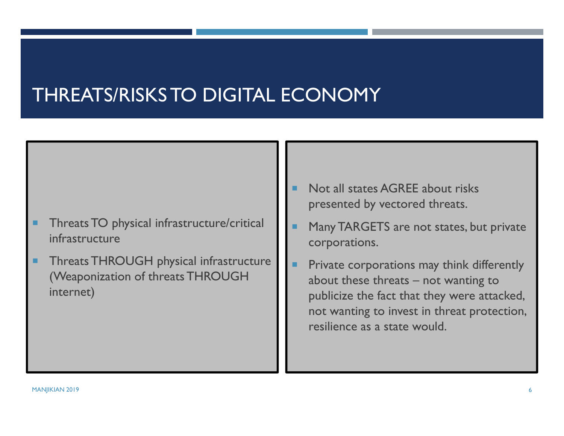# THREATS/RISKS TO DIGITAL ECONOMY

- п Threats TO physical infrastructure/critical infrastructure
- п Threats THROUGH physical infrastructure (Weaponization of threats THROUGH internet)
- Not all states AGREE about risks presented by vectored threats.
- Г Many TARGETS are not states, but private corporations.
- Private corporations may think differently about these threats – not wanting to publicize the fact that they were attacked, not wanting to invest in threat protection, resilience as a state would.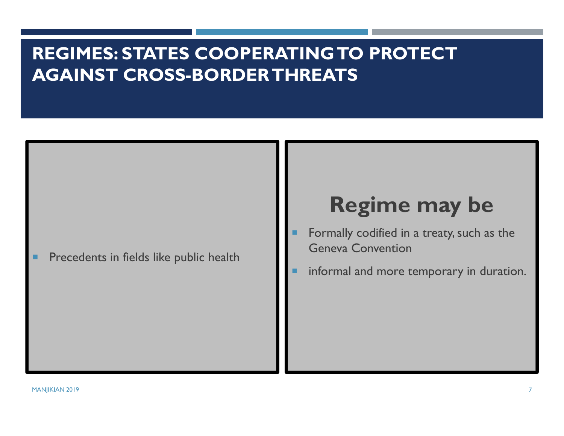#### **REGIMES: STATES COOPERATING TO PROTECT AGAINST CROSS-BORDER THREATS**

Precedents in fields like public health

# **Regime may be**

- Formally codified in a treaty, such as the Geneva Convention
- informal and more temporary in duration.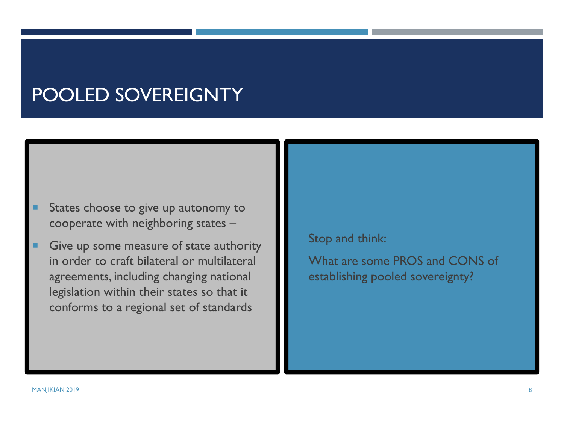# POOLED SOVEREIGNTY

- States choose to give up autonomy to cooperate with neighboring states –
- Give up some measure of state authority in order to craft bilateral or multilateral agreements, including changing national legislation within their states so that it conforms to a regional set of standards

Stop and think:

 What are some PROS and CONS of establishing pooled sovereignty?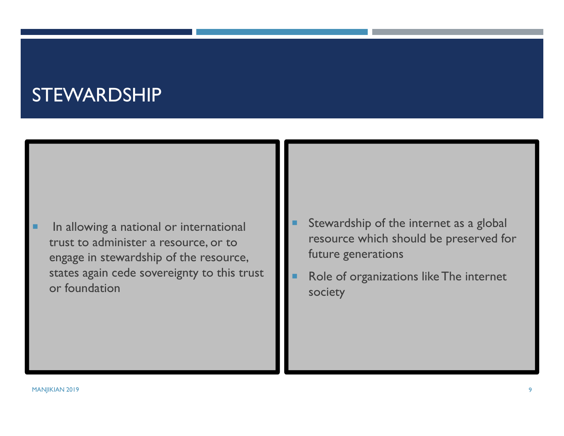#### STEWARDSHIP

- In allowing a national or international trust to administer a resource, or to engage in stewardship of the resource, states again cede sovereignty to this trust or foundation
- г Stewardship of the internet as a global resource which should be preserved for future generations
- Role of organizations like The internet society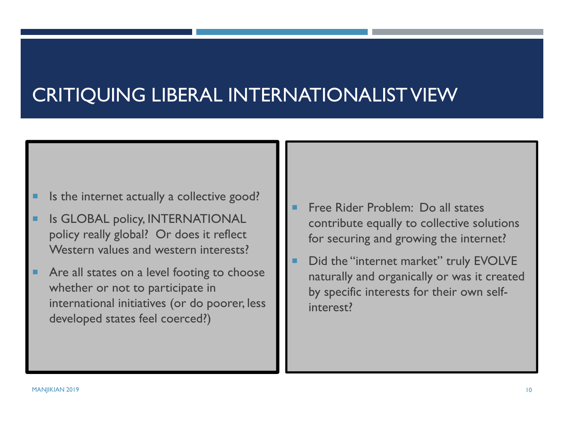# CRITIQUING LIBERAL INTERNATIONALIST VIEW

- Is the internet actually a collective good?
- Is GLOBAL policy, INTERNATIONAL policy really global? Or does it reflect Western values and western interests?
- Are all states on a level footing to choose whether or not to participate in international initiatives (or do poorer, less developed states feel coerced?)
- Free Rider Problem: Do all states contribute equally to collective solutions for securing and growing the internet?
- Did the "internet market" truly EVOLVE naturally and organically or was it created by specific interests for their own selfinterest?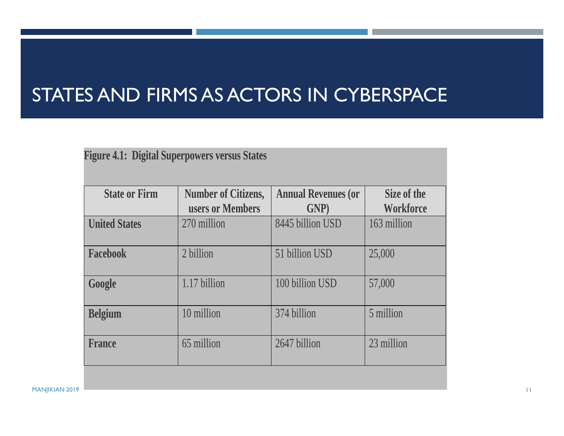# STATES AND FIRMS AS ACTORS IN CYBERSPACE

| <b>Figure 4.1: Digital Superpowers versus States</b> |                                                |                                            |                                 |
|------------------------------------------------------|------------------------------------------------|--------------------------------------------|---------------------------------|
| <b>State or Firm</b>                                 | <b>Number of Citizens,</b><br>users or Members | <b>Annual Revenues (or</b><br><b>GNP</b> ) | Size of the<br><b>Workforce</b> |
| <b>United States</b>                                 | 270 million                                    | 8445 billion USD                           | 163 million                     |
| <b>Facebook</b>                                      | 2 billion                                      | 51 billion USD                             | 25,000                          |
| Google                                               | 1.17 billion                                   | 100 billion USD                            | 57,000                          |
| <b>Belgium</b>                                       | 10 million                                     | 374 billion                                | 5 million                       |
| <b>France</b>                                        | 65 million                                     | 2647 billion                               | 23 million                      |